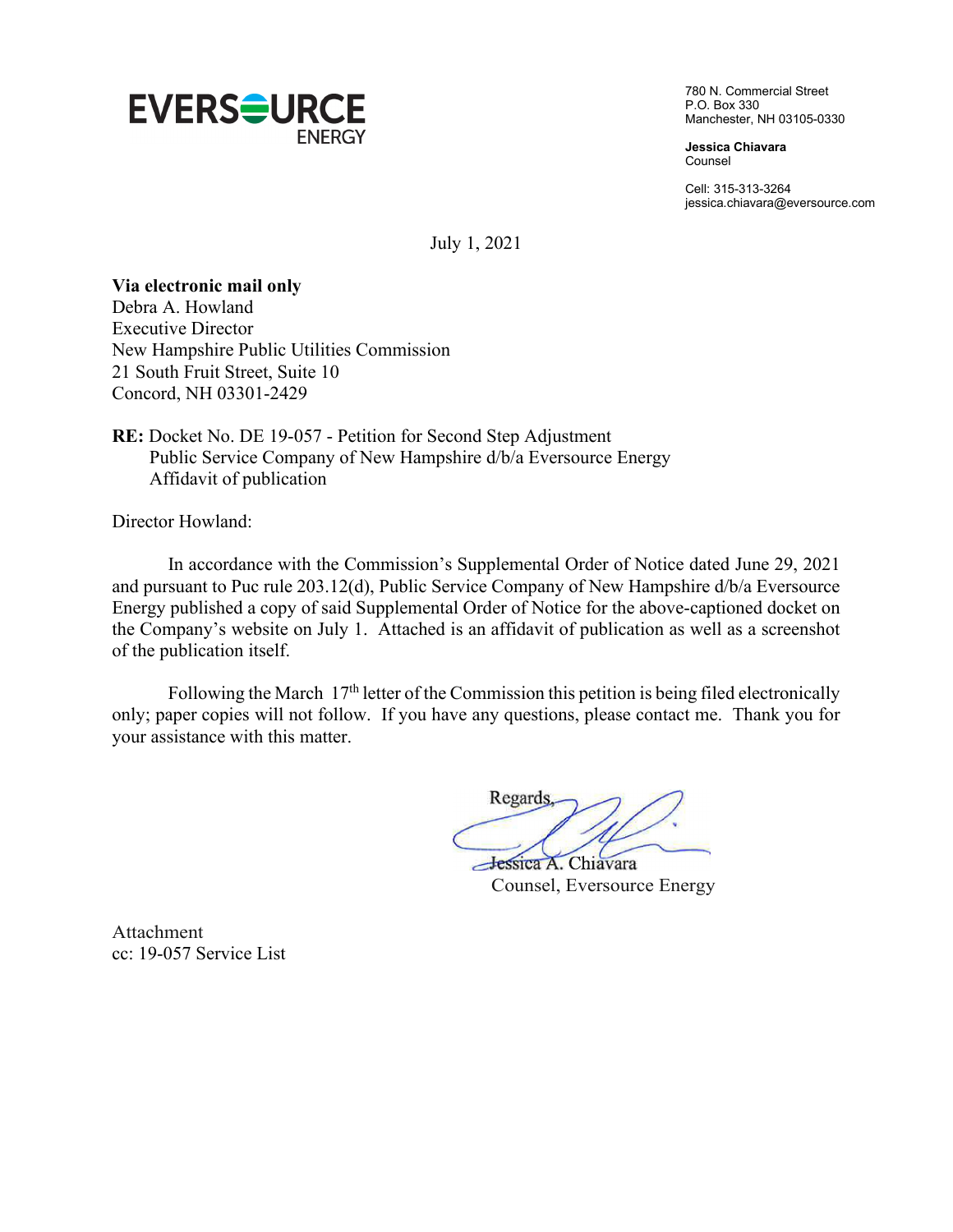

780 N. Commercial Street P.O. Box 330 Manchester, NH 03105-0330

**Jessica Chiavara** Counsel

Cell: 315-313-3264 jessica.chiavara@eversource.com

July 1, 2021

## **Via electronic mail only**

Debra A. Howland Executive Director New Hampshire Public Utilities Commission 21 South Fruit Street, Suite 10 Concord, NH 03301-2429

**RE:** Docket No. DE 19-057 - Petition for Second Step Adjustment Public Service Company of New Hampshire d/b/a Eversource Energy Affidavit of publication

Director Howland:

In accordance with the Commission's Supplemental Order of Notice dated June 29, 2021 and pursuant to Puc rule 203.12(d), Public Service Company of New Hampshire d/b/a Eversource Energy published a copy of said Supplemental Order of Notice for the above-captioned docket on the Company's website on July 1. Attached is an affidavit of publication as well as a screenshot of the publication itself.

Following the March 17<sup>th</sup> letter of the Commission this petition is being filed electronically only; paper copies will not follow. If you have any questions, please contact me. Thank you for your assistance with this matter.

Regards

Jessica A. Chiavara Counsel, Eversource Energy

Attachment cc: 19-057 Service List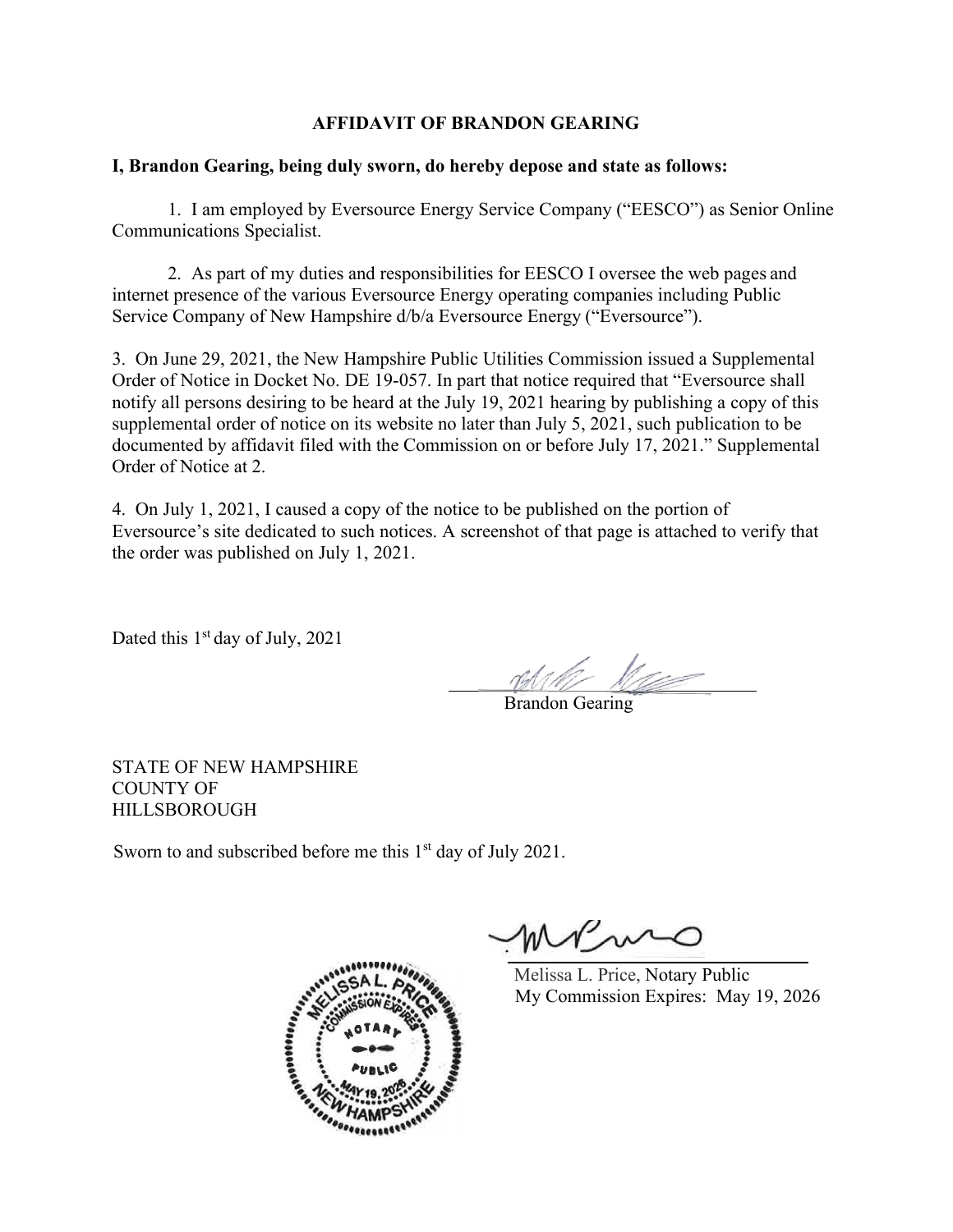## **AFFIDAVIT OF BRANDON GEARING**

### **I, Brandon Gearing, being duly sworn, do hereby depose and state as follows:**

1. I am employed by Eversource Energy Service Company ("EESCO") as Senior Online Communications Specialist.

2. As part of my duties and responsibilities for EESCO I oversee the web pages and internet presence of the various Eversource Energy operating companies including Public Service Company of New Hampshire d/b/a Eversource Energy ("Eversource").

3. On June 29, 2021, the New Hampshire Public Utilities Commission issued a Supplemental Order of Notice in Docket No. DE 19-057. In part that notice required that "Eversource shall notify all persons desiring to be heard at the July 19, 2021 hearing by publishing a copy of this supplemental order of notice on its website no later than July 5, 2021, such publication to be documented by affidavit filed with the Commission on or before July 17, 2021." Supplemental Order of Notice at 2.

4. On July 1, 2021, I caused a copy of the notice to be published on the portion of Eversource's site dedicated to such notices. A screenshot of that page is attached to verify that the order was published on July 1, 2021.

Dated this 1<sup>st</sup> day of July, 2021

**Brandon Gearing** 

STATE OF NEW HAMPSHIRE COUNTY OF HILLSBOROUGH

Sworn to and subscribed before me this 1<sup>st</sup> day of July 2021.



MVmm

Melissa L. Price, Notary Public My Commission Expires: May 19, 2026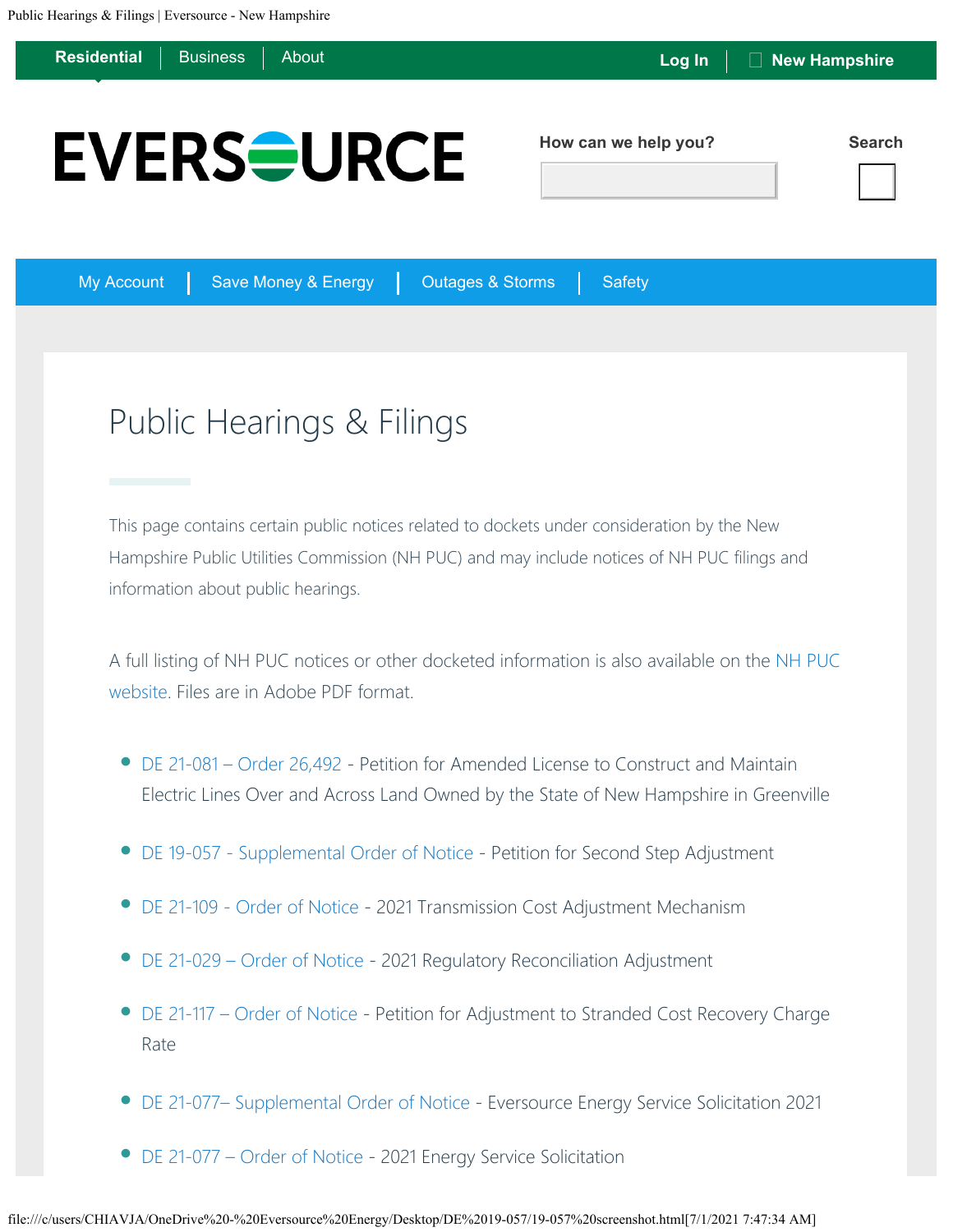**[Residential](https://www.eversource.com/content/nh/residential)** [Business](https://www.eversource.com/content/nh/business) [About](https://www.eversource.com/content/nh/about) **Residential** Business About **Residential** Business About **Residential** Business About **How can we help you? Search EVERS<del>S</del>URCE** 

My Account | Save Money & Energy | Outages & Storms | Safety

# Public Hearings & Filings

This page contains certain public notices related to dockets under consideration by the New Hampshire Public Utilities Commission (NH PUC) and may include notices of NH PUC filings and information about public hearings.

A full listing of NH PUC notices or other docketed information is also available on the [NH PUC](https://www.puc.nh.gov/) [website.](https://www.puc.nh.gov/) Files are in Adobe PDF format.

- [DE 21-081 Order 26,492](https://www.eversource.com/content/docs/default-source/rates-tariffs/de-21-081.pdf?sfvrsn=23c4d862_2) Petition for Amended License to Construct and Maintain Electric Lines Over and Across Land Owned by the State of New Hampshire in Greenville
- [DE 19-057 Supplemental Order of Notice](https://www.eversource.com/content/docs/default-source/rates-tariffs/de-19-0579880bf0f1b5267e39dbdff3500e2e88e.pdf?sfvrsn=7cd2d862_4) Petition for Second Step Adjustment
- [DE 21-109 Order of Notice](https://www.eversource.com/content/docs/default-source/rates-tariffs/de-21-109.pdf?sfvrsn=3758d862_2)  2021 Transmission Cost Adjustment Mechanism
- [DE 21-029 Order of Notice](https://www.eversource.com/content/docs/default-source/rates-tariffs/de-21-029.pdf?sfvrsn=df58d862_2)  2021 Regulatory Reconciliation Adjustment
- [DE 21-117 Order of Notice](https://www.eversource.com/content/docs/default-source/rates-tariffs/de-21-117.pdf?sfvrsn=2fbfd962_4)  Petition for Adjustment to Stranded Cost Recovery Charge Rate •
- [DE 21-077– Supplemental Order of Notice](https://www.eversource.com/content/docs/default-source/rates-tariffs/de-21-077-supplemental.pdf?sfvrsn=1c2d962_4) Eversource Energy Service Solicitation 2021
- [DE 21-077 Order of Notice](https://www.eversource.com/content/docs/default-source/rates-tariffs/de-21-077.pdf?sfvrsn=7ac7da62_2) 2021 Energy Service Solicitation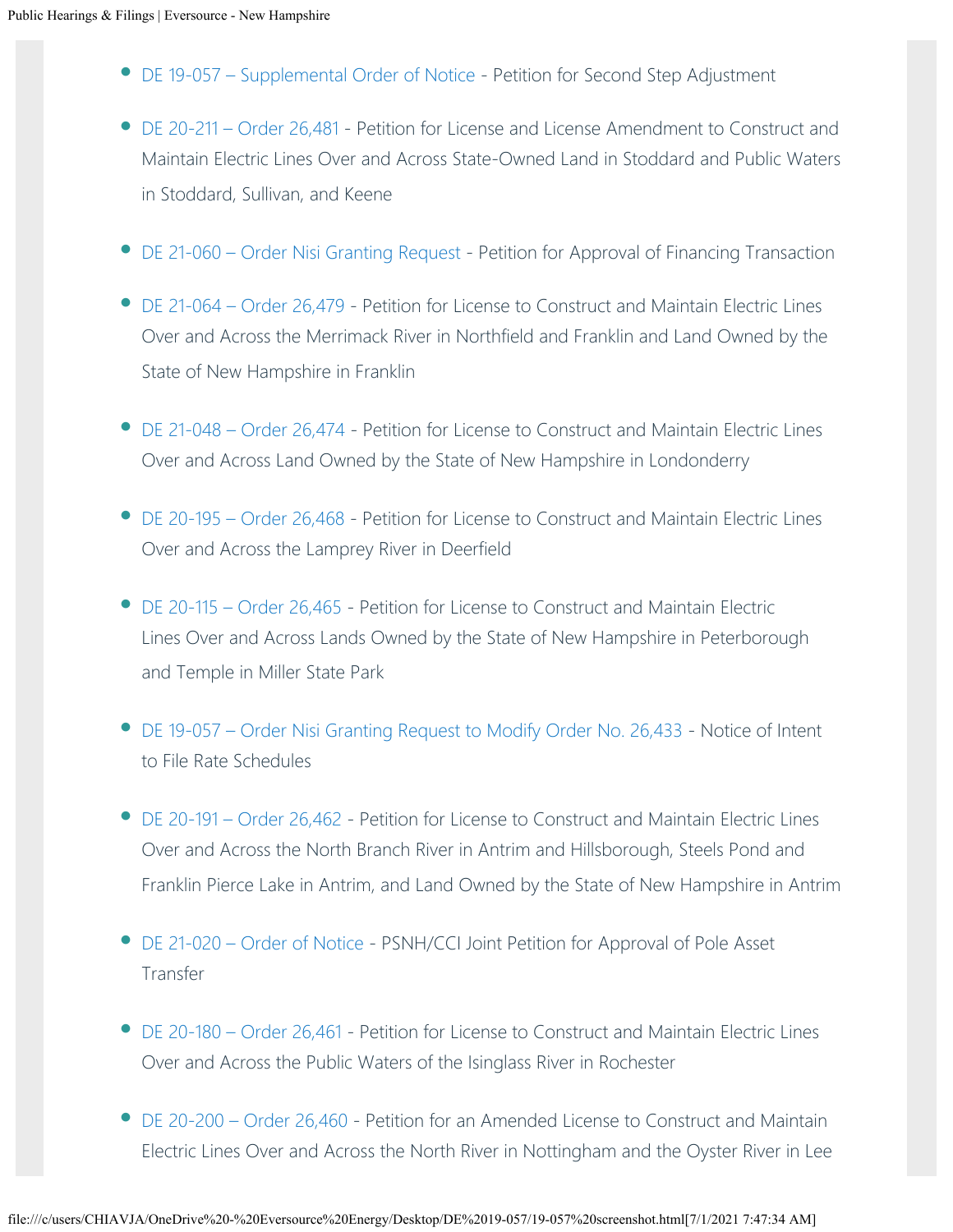- [DE 19-057 Supplemental Order of Notice](https://www.eversource.com/content/docs/default-source/rates-tariffs/de-19-057-supplemental.pdf?sfvrsn=ccc2da62_2)  Petition for Second Step Adjustment
- [DE 20-211 Order 26,481](https://www.eversource.com/content/docs/default-source/rates-tariffs/de-20-211.pdf?sfvrsn=8e67da62_4)  Petition for License and License Amendment to Construct and Maintain Electric Lines Over and Across State-Owned Land in Stoddard and Public Waters in Stoddard, Sullivan, and Keene
- [DE 21-060 Order Nisi Granting Request](https://www.eversource.com/content/docs/default-source/rates-tariffs/26-483.pdf?sfvrsn=7073da62_6) Petition for Approval of Financing Transaction
- [DE 21-064 Order 26,479](https://www.eversource.com/content/docs/default-source/rates-tariffs/de-21-064.pdf?sfvrsn=4840da62_4)  Petition for License to Construct and Maintain Electric Lines Over and Across the Merrimack River in Northfield and Franklin and Land Owned by the State of New Hampshire in Franklin
- [DE 21-048 Order 26,474](https://www.eversource.com/content/docs/default-source/rates-tariffs/de-21-048-order-26-474.pdf?sfvrsn=a48ddb62_2)  Petition for License to Construct and Maintain Electric Lines Over and Across Land Owned by the State of New Hampshire in Londonderry
- [DE 20-195 Order 26,468](https://www.eversource.com/content/docs/default-source/rates-tariffs/de-20-195-order-26-468.pdf?sfvrsn=ccd0dc62_4)  Petition for License to Construct and Maintain Electric Lines Over and Across the Lamprey River in Deerfield
- [DE 20-115 Order 26,465](https://www.eversource.com/content/docs/default-source/rates-tariffs/de-20-115.pdf?sfvrsn=7c12dc62_6) Petition for License to Construct and Maintain Electric Lines Over and Across Lands Owned by the State of New Hampshire in Peterborough and Temple in Miller State Park
- [DE 19-057 Order Nisi Granting Request to Modify Order No. 26,433](https://www.eversource.com/content/docs/default-source/rates-tariffs/de-26-464.pdf?sfvrsn=ef74dc62_4) Notice of Intent to File Rate Schedules
- [DE 20-191 Order 26,462](https://www.eversource.com/content/docs/default-source/rates-tariffs/de-20-191.pdf?sfvrsn=52b8dd62_2) Petition for License to Construct and Maintain Electric Lines Over and Across the North Branch River in Antrim and Hillsborough, Steels Pond and Franklin Pierce Lake in Antrim, and Land Owned by the State of New Hampshire in Antrim
- [DE 21-020 Order of Notice](https://www.eversource.com/content/docs/default-source/rates-tariffs/de-21-020.pdf?sfvrsn=d48fdd62_2)  PSNH/CCI Joint Petition for Approval of Pole Asset Transfer
- [DE 20-180 Order 26,461](https://www.eversource.com/content/docs/default-source/rates-tariffs/de-20-180.pdf?sfvrsn=c797dd62_2) Petition for License to Construct and Maintain Electric Lines Over and Across the Public Waters of the Isinglass River in Rochester
- [DE 20-200 Order 26,460](https://www.eversource.com/content/docs/default-source/rates-tariffs/de-20-200.pdf?sfvrsn=40d5dd62_2) Petition for an Amended License to Construct and Maintain Electric Lines Over and Across the North River in Nottingham and the Oyster River in Lee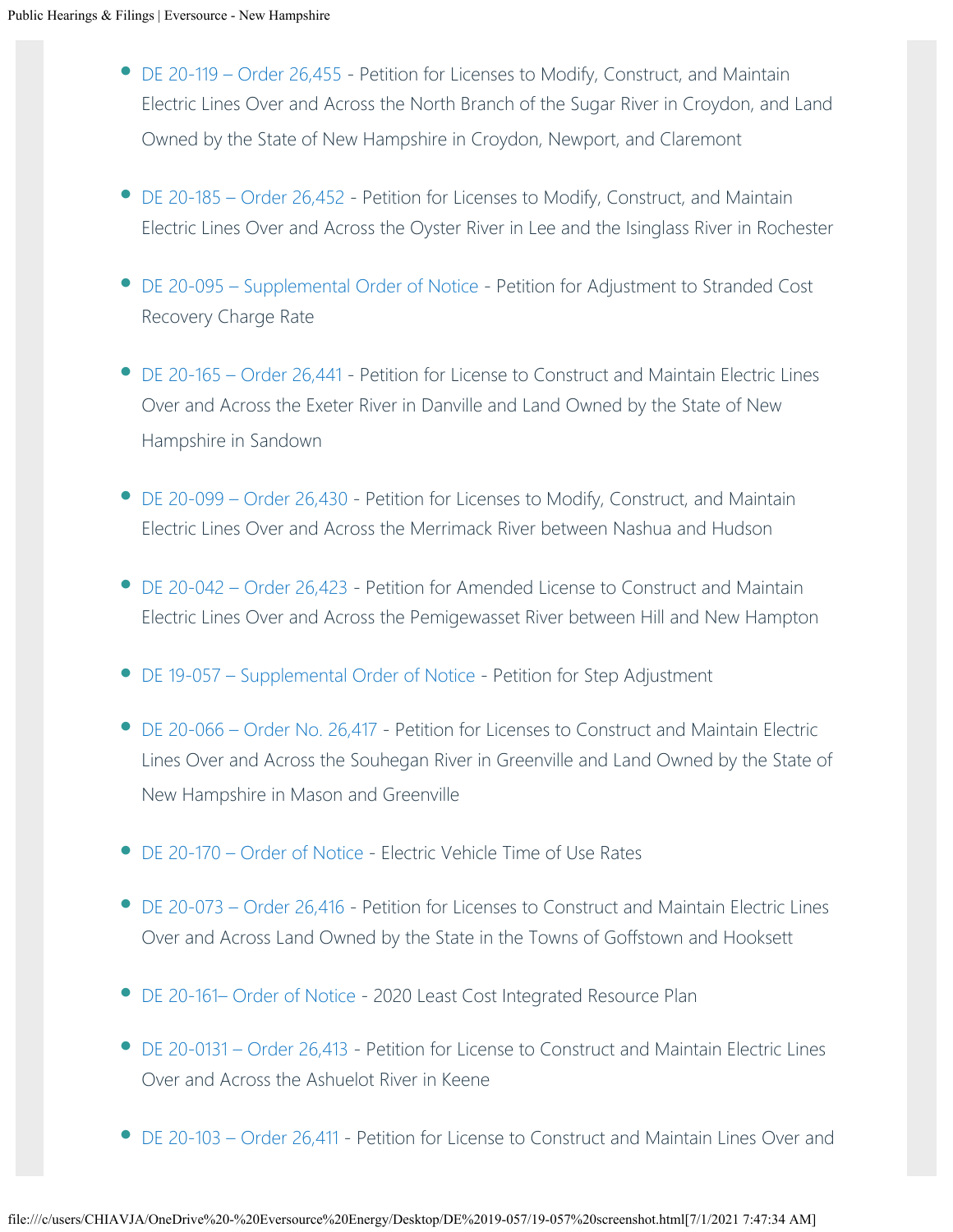- [DE 20-119 Order 26,455](https://www.eversource.com/content/docs/default-source/rates-tariffs/de-20-119.pdf?sfvrsn=5ba0de62_4) Petition for Licenses to Modify, Construct, and Maintain Electric Lines Over and Across the North Branch of the Sugar River in Croydon, and Land Owned by the State of New Hampshire in Croydon, Newport, and Claremont
- [DE 20-185 Order 26,452](https://www.eversource.com/content/docs/default-source/rates-tariffs/de-20-185.pdf?sfvrsn=3db8de62_4)  Petition for Licenses to Modify, Construct, and Maintain Electric Lines Over and Across the Oyster River in Lee and the Isinglass River in Rochester
- DE 20-095 Supplemental Order of Notice Petition for Adjustment to Stranded Cost Recovery Charge Rate
- [DE 20-165 Order 26,441](https://www.eversource.com/content/docs/default-source/rates-tariffs/de-20-165-order-26-441.pdf?sfvrsn=15de62_2) Petition for License to Construct and Maintain Electric Lines Over and Across the Exeter River in Danville and Land Owned by the State of New Hampshire in Sandown
- [DE 20-099 Order 26,430](https://www.eversource.com/content/docs/default-source/rates-tariffs/de-20-099-order-26-430.pdf?sfvrsn=4e8ddf62_4) Petition for Licenses to Modify, Construct, and Maintain Electric Lines Over and Across the Merrimack River between Nashua and Hudson
- [DE 20-042 Order 26,423](https://www.eversource.com/content/docs/default-source/rates-tariffs/de-20-042.pdf?sfvrsn=8d4bdf62_2) Petition for Amended License to Construct and Maintain Electric Lines Over and Across the Pemigewasset River between Hill and New Hampton
- [DE 19-057 Supplemental Order of Notice](https://www.eversource.com/content/docs/default-source/rates-tariffs/de-19-057.pdf?sfvrsn=6945df62_2)  Petition for Step Adjustment
- [DE 20-066 Order No. 26,417](https://www.eversource.com/content/docs/default-source/rates-tariffs/de-20-066.pdf?sfvrsn=1bd7d062_2)  Petition for Licenses to Construct and Maintain Electric Lines Over and Across the Souhegan River in Greenville and Land Owned by the State of New Hampshire in Mason and Greenville
- [DE 20-170 Order of Notice](https://www.eversource.com/content/docs/default-source/rates-tariffs/de-20-170.pdf?sfvrsn=9ad0d062_2)  Electric Vehicle Time of Use Rates
- [DE 20-073 Order 26,416](https://www.eversource.com/content/docs/default-source/rates-tariffs/de-20-073.pdf?sfvrsn=9a29d062_2) Petition for Licenses to Construct and Maintain Electric Lines Over and Across Land Owned by the State in the Towns of Goffstown and Hooksett
- [DE 20-161– Order of Notice](https://www.eversource.com/content/docs/default-source/rates-tariffs/de-20-161.pdf?sfvrsn=7f29d062_2) 2020 Least Cost Integrated Resource Plan
- [DE 20-0131 Order 26,413](https://www.eversource.com/content/docs/default-source/rates-tariffs/de-20-131.pdf?sfvrsn=7601d062_2)  Petition for License to Construct and Maintain Electric Lines Over and Across the Ashuelot River in Keene
- [DE 20-103 Order 26,411](https://www.eversource.com/content/docs/default-source/rates-tariffs/de-20-103.pdf?sfvrsn=57cd062_2)  Petition for License to Construct and Maintain Lines Over and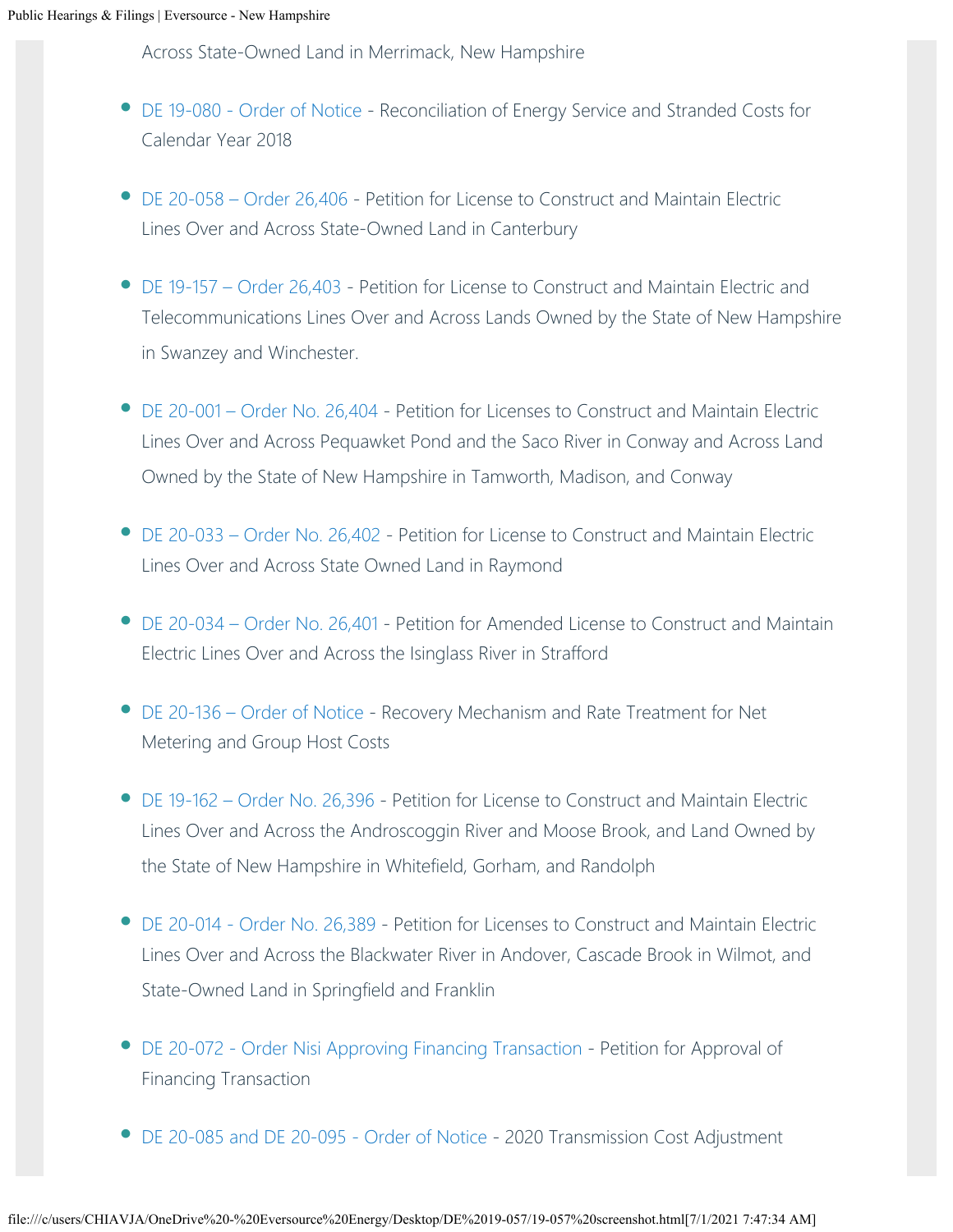Across State-Owned Land in Merrimack, New Hampshire

- [DE 19-080 Order of Notice](https://www.eversource.com/content/docs/default-source/rates-tariffs/de-19-080.pdf?sfvrsn=6375d062_2) Reconciliation of Energy Service and Stranded Costs for Calendar Year 2018
- [DE 20-058 Order 26,406](https://www.eversource.com/content/docs/default-source/rates-tariffs/de-20-058.pdf?sfvrsn=cb4ed062_2) Petition for License to Construct and Maintain Electric Lines Over and Across State-Owned Land in Canterbury
- [DE 19-157 Order 26,403](https://www.eversource.com/content/docs/default-source/rates-tariffs/public-hearings/de-19-157.pdf?sfvrsn=fdafd162_0) Petition for License to Construct and Maintain Electric and Telecommunications Lines Over and Across Lands Owned by the State of New Hampshire in Swanzey and Winchester.
- [DE 20-001 Order No. 26,404](https://www.eversource.com/content/docs/default-source/rates-tariffs/de-20-001.pdf?sfvrsn=d1b4d162_2)  Petition for Licenses to Construct and Maintain Electric Lines Over and Across Pequawket Pond and the Saco River in Conway and Across Land Owned by the State of New Hampshire in Tamworth, Madison, and Conway
- [DE 20-033 Order No. 26,402](https://www.eversource.com/content/docs/default-source/rates-tariffs/de-20-033.pdf?sfvrsn=f9b4d162_2) Petition for License to Construct and Maintain Electric Lines Over and Across State Owned Land in Raymond
- [DE 20-034 Order No. 26,401](https://www.eversource.com/content/docs/default-source/rates-tariffs/public-hearings/de-20-034.pdf?sfvrsn=db9bd162_2)  Petition for Amended License to Construct and Maintain Electric Lines Over and Across the Isinglass River in Strafford
- [DE 20-136 Order of Notice](https://www.eversource.com/content/docs/default-source/rates-tariffs/public-hearings/de-20-136.pdf?sfvrsn=7bebd162_2)  Recovery Mechanism and Rate Treatment for Net Metering and Group Host Costs
- [DE 19-162 Order No. 26,396](https://www.eversource.com/content/docs/default-source/rates-tariffs/public-hearings/de-19-162.pdf?sfvrsn=16ffd162_2) Petition for License to Construct and Maintain Electric Lines Over and Across the Androscoggin River and Moose Brook, and Land Owned by the State of New Hampshire in Whitefield, Gorham, and Randolph •
- [DE 20-014 Order No. 26,389](https://www.eversource.com/content/docs/default-source/rates-tariffs/de-20-014-order-26-389.pdf?sfvrsn=9562d162_2) Petition for Licenses to Construct and Maintain Electric Lines Over and Across the Blackwater River in Andover, Cascade Brook in Wilmot, and State-Owned Land in Springfield and Franklin
- [DE 20-072 Order Nisi Approving Financing Transaction](https://www.eversource.com/content/docs/default-source/rates-tariffs/26-390.pdf?sfvrsn=ae62d162_2) Petition for Approval of Financing Transaction
- [DE 20-085 and DE 20-095 Order of Notice](https://www.eversource.com/content/docs/default-source/rates-tariffs/de-20-085-de-20-095.pdf?sfvrsn=fbf5d262_2) 2020 Transmission Cost Adjustment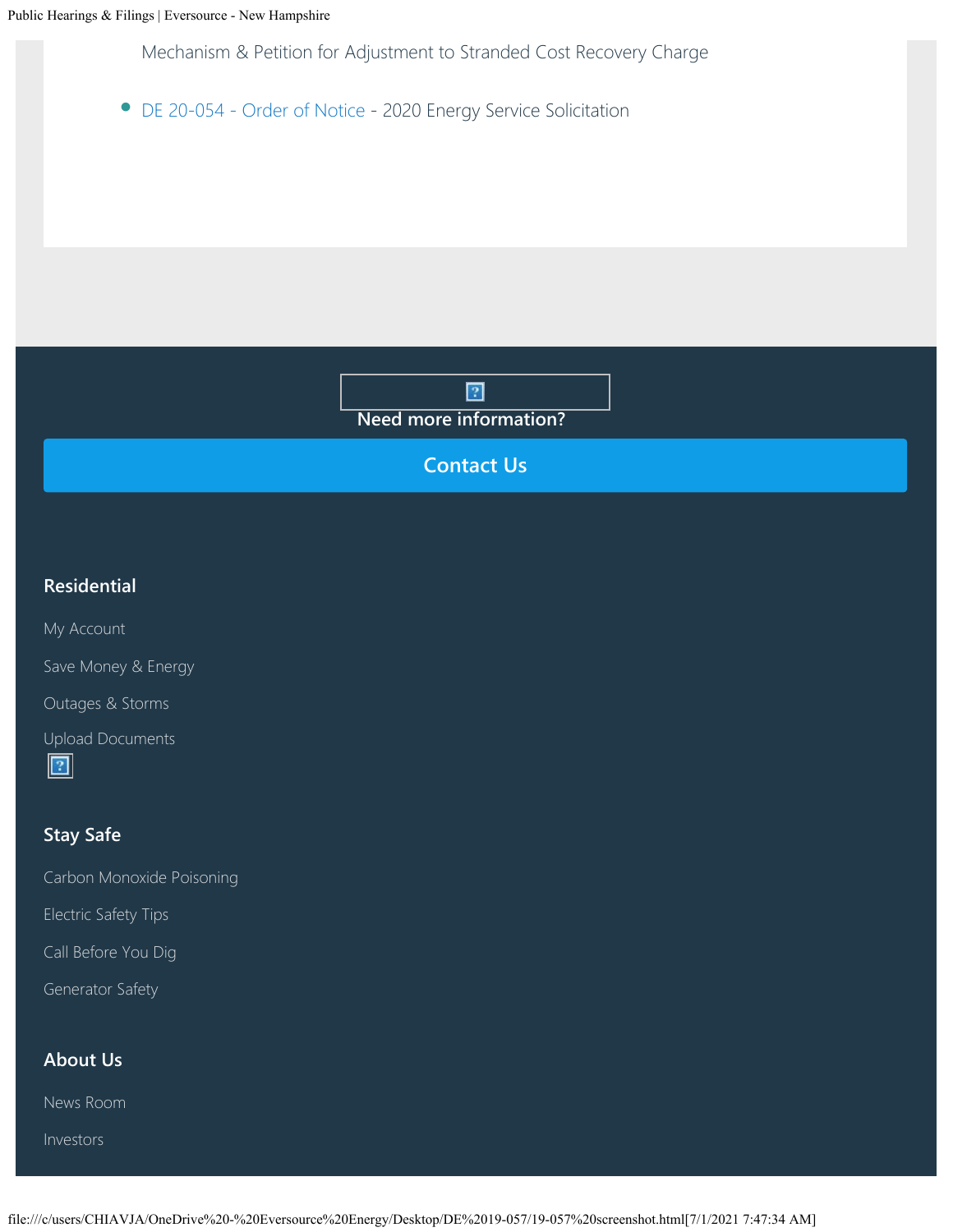Mechanism & Petition for Adjustment to Stranded Cost Recovery Charge

• [DE 20-054 - Order of Notice](https://www.eversource.com/content/docs/default-source/rates-tariffs/de-20-054.pdf?sfvrsn=2b9dd362_2) - 2020 Energy Service Solicitation

 $\overline{2}$ **Need more information?**

**[Contact Us](https://www.eversource.com/content/nh/about/contact)**

## **Residential**

[My Account](https://www.eversource.com/content/nh/residential/my-account)

[Save Money & Energy](https://www.eversource.com/content/nh/residential/save-money-energy)

[Outages & Storms](https://www.eversource.com/content/nh/residential/outages)

[Upload Documents](https://www.eversource.com/cg/customer/upload) 



## **Stay Safe**

[Carbon Monoxide Poisoning](https://www.eversource.com/content/nh/residential/safety/protect-yourself/carbon-monoxide-poisoning)

[Electric Safety Tips](https://www.eversource.com/content/nh/residential/safety/electric-safety)

[Call Before You Dig](https://www.eversource.com/content/nh/residential/safety/protect-yourself/dig-safe)

[Generator Safety](https://www.eversource.com/content/nh/residential/safety/electric-safety/generator-safety)

#### **About Us**

[News Room](https://www.eversource.com/content/nh/about/news-room/new-hampshire/new-hampshire-news)

[Investors](https://www.eversource.com/content/nh/about/investors)